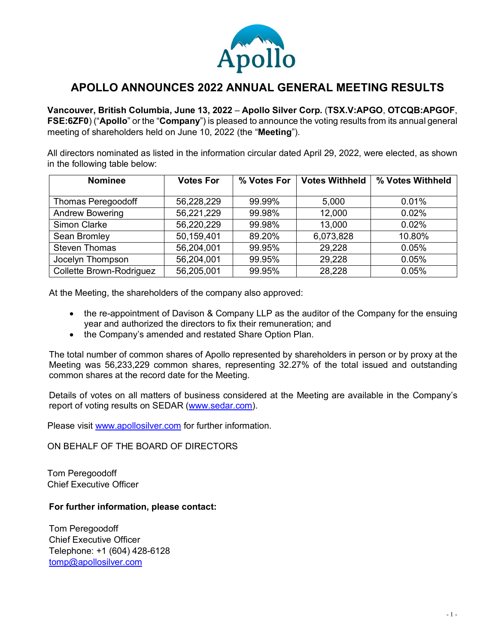

## **APOLLO ANNOUNCES 2022 ANNUAL GENERAL MEETING RESULTS**

**Vancouver, British Columbia, June 13, 2022** – **Apollo Silver Corp.** (**TSX.V:APGO**, **OTCQB:APGOF**, **FSE:6ZF0**) ("**Apollo**" or the "**Company**") is pleased to announce the voting results from its annual general meeting of shareholders held on June 10, 2022 (the "**Meeting**").

All directors nominated as listed in the information circular dated April 29, 2022, were elected, as shown in the following table below:

| <b>Nominee</b>            | <b>Votes For</b> | % Votes For | <b>Votes Withheld</b> | % Votes Withheld |
|---------------------------|------------------|-------------|-----------------------|------------------|
|                           |                  |             |                       |                  |
| <b>Thomas Peregoodoff</b> | 56,228,229       | 99.99%      | 5,000                 | 0.01%            |
| <b>Andrew Bowering</b>    | 56,221,229       | 99.98%      | 12,000                | 0.02%            |
| Simon Clarke              | 56,220,229       | 99.98%      | 13,000                | 0.02%            |
| Sean Bromley              | 50,159,401       | 89.20%      | 6,073,828             | 10.80%           |
| <b>Steven Thomas</b>      | 56,204,001       | 99.95%      | 29,228                | 0.05%            |
| Jocelyn Thompson          | 56,204,001       | 99.95%      | 29,228                | 0.05%            |
| Collette Brown-Rodriguez  | 56,205,001       | 99.95%      | 28,228                | 0.05%            |

At the Meeting, the shareholders of the company also approved:

- the re-appointment of Davison & Company LLP as the auditor of the Company for the ensuing year and authorized the directors to fix their remuneration; and
- the Company's amended and restated Share Option Plan.

The total number of common shares of Apollo represented by shareholders in person or by proxy at the Meeting was 56,233,229 common shares, representing 32.27% of the total issued and outstanding common shares at the record date for the Meeting.

Details of votes on all matters of business considered at the Meeting are available in the Company's report of voting results on SEDAR [\(www.sedar.com\)](http://www.sedar.com/).

Please visit [www.apollosilver.com](http://www.apollosilver.com/) for further information.

ON BEHALF OF THE BOARD OF DIRECTORS

Tom Peregoodoff Chief Executive Officer

## **For further information, please contact:**

Tom Peregoodoff Chief Executive Officer Telephone: +1 (604) 428-6128 [tomp@apollosilver.com](mailto:tomp@apollosilver.com)